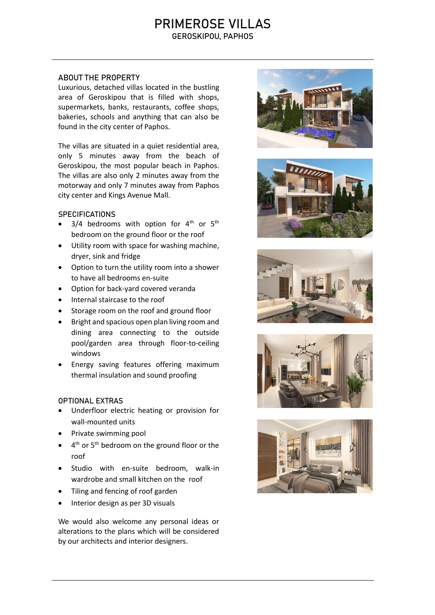# PRIMEROSE VILLAS GEROSKIPOU, PAPHOS

## ABOUT THE PROPERTY

Luxurious, detached villas located in the bustling area of Geroskipou that is filled with shops, supermarkets, banks, restaurants, coffee shops, bakeries, schools and anything that can also be found in the city center of Paphos.

The villas are situated in a quiet residential area, only 5 minutes away from the beach of Geroskipou, the most popular beach in Paphos. The villas are also only 2 minutes away from the motorway and only 7 minutes away from Paphos city center and Kings Avenue Mall.

#### **SPECIFICATIONS**

- $3/4$  bedrooms with option for  $4<sup>th</sup>$  or  $5<sup>th</sup>$ bedroom on the ground floor or the roof
- Utility room with space for washing machine, dryer, sink and fridge
- Option to turn the utility room into a shower to have all bedrooms en-suite
- Option for back-yard covered veranda
- Internal staircase to the roof
- Storage room on the roof and ground floor
- Bright and spacious open plan living room and dining area connecting to the outside pool/garden area through floor-to-ceiling windows
- Energy saving features offering maximum thermal insulation and sound proofing

## OPTIONAL EXTRAS

- Underfloor electric heating or provision for wall-mounted units
- Private swimming pool
- $\bullet$  4<sup>th</sup> or 5<sup>th</sup> bedroom on the ground floor or the roof
- Studio with en-suite bedroom, walk-in wardrobe and small kitchen on the roof
- Tiling and fencing of roof garden
- Interior design as per 3D visuals

We would also welcome any personal ideas or alterations to the plans which will be considered by our architects and interior designers.